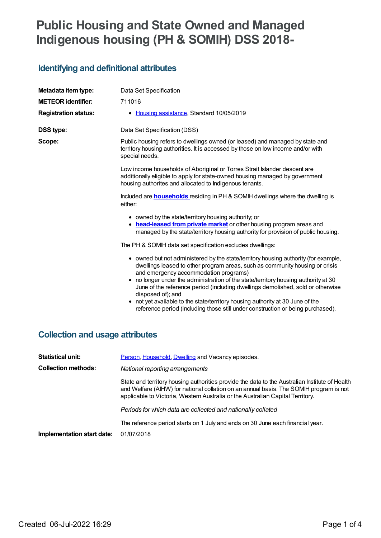## **Public Housing and State Owned and Managed Indigenous housing (PH & SOMIH) DSS 2018-**

## **Identifying and definitional attributes**

| Metadata item type:                    | Data Set Specification                                                                                                                                                                                                                                                                                                                                                                                      |
|----------------------------------------|-------------------------------------------------------------------------------------------------------------------------------------------------------------------------------------------------------------------------------------------------------------------------------------------------------------------------------------------------------------------------------------------------------------|
| <b>METEOR</b> identifier:              | 711016                                                                                                                                                                                                                                                                                                                                                                                                      |
| <b>Registration status:</b>            | • Housing assistance, Standard 10/05/2019                                                                                                                                                                                                                                                                                                                                                                   |
| <b>DSS type:</b>                       | Data Set Specification (DSS)                                                                                                                                                                                                                                                                                                                                                                                |
| Scope:                                 | Public housing refers to dwellings owned (or leased) and managed by state and<br>territory housing authorities. It is accessed by those on low income and/or with<br>special needs.                                                                                                                                                                                                                         |
|                                        | Low income households of Aboriginal or Torres Strait Islander descent are<br>additionally eligible to apply for state-owned housing managed by government<br>housing authorites and allocated to Indigenous tenants.                                                                                                                                                                                        |
|                                        | Included are <b>households</b> residing in PH & SOMIH dwellings where the dwelling is<br>either:                                                                                                                                                                                                                                                                                                            |
|                                        | • owned by the state/territory housing authority; or<br>head-leased from private market or other housing program areas and<br>٠<br>managed by the state/territory housing authority for provision of public housing.                                                                                                                                                                                        |
|                                        | The PH & SOMIH data set specification excludes dwellings:                                                                                                                                                                                                                                                                                                                                                   |
|                                        | • owned but not administered by the state/territory housing authority (for example,<br>dwellings leased to other program areas, such as community housing or crisis<br>and emergency accommodation programs)<br>• no longer under the administration of the state/territory housing authority at 30<br>June of the reference period (including dwellings demolished, sold or otherwise<br>disposed of); and |
|                                        | • not yet available to the state/territory housing authority at 30 June of the<br>reference period (including those still under construction or being purchased).                                                                                                                                                                                                                                           |
| <b>Collection and usage attributes</b> |                                                                                                                                                                                                                                                                                                                                                                                                             |
| <b>Statistical unit:</b>               | Person, Household, Dwelling and Vacancy episodes.                                                                                                                                                                                                                                                                                                                                                           |

**Collection methods:** *National reporting arrangements*

State and territory housing authorities provide the data to the Australian Institute of Health and Welfare (AIHW) for national collation on an annual basis. The SOMIH program is not applicable to Victoria, Western Australia or the Australian Capital Territory.

*Periods for which data are collected and nationally collated*

The reference period starts on 1 July and ends on 30 June each financial year.

**Implementation start date:** 01/07/2018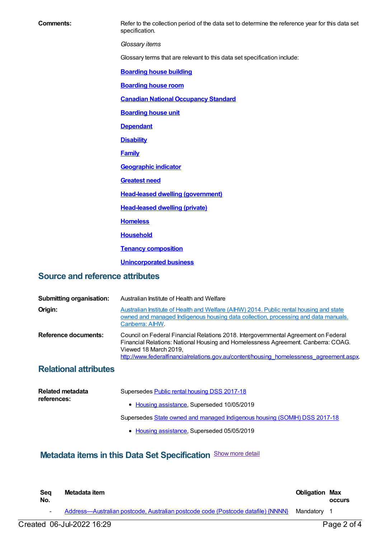**Comments:** Refer to the collection period of the data set to determine the reference year for this data set specification. *Glossary items* Glossary terms that are relevant to this data set specification include: **[Boarding](https://meteor.aihw.gov.au/content/327408) house building [Boarding](https://meteor.aihw.gov.au/content/327410) house room Canadian National [Occupancy](https://meteor.aihw.gov.au/content/386254) Standard [Boarding](https://meteor.aihw.gov.au/content/327412) house unit [Dependant](https://meteor.aihw.gov.au/content/327458) [Disability](https://meteor.aihw.gov.au/content/327304) [Family](https://meteor.aihw.gov.au/content/351499) [Geographic](https://meteor.aihw.gov.au/content/327306) indicator [Greatest](https://meteor.aihw.gov.au/content/494368) need Head-leased dwelling [\(government\)](https://meteor.aihw.gov.au/content/327318) [Head-leased](https://meteor.aihw.gov.au/content/639150) dwelling (private) [Homeless](https://meteor.aihw.gov.au/content/327244) [Household](https://meteor.aihw.gov.au/content/465183) Tenancy [composition](https://meteor.aihw.gov.au/content/327444) [Unincorporated](https://meteor.aihw.gov.au/content/327462) business Source and reference attributes**

| <b>Submitting organisation:</b> | Australian Institute of Health and Welfare                                                                                                                                                                                                                                                    |
|---------------------------------|-----------------------------------------------------------------------------------------------------------------------------------------------------------------------------------------------------------------------------------------------------------------------------------------------|
| Origin:                         | Australian Institute of Health and Welfare (AIHW) 2014. Public rental housing and state<br>owned and managed Indigenous housing data collection, processing and data manuals.<br>Canberra: AIHW.                                                                                              |
| Reference documents:            | Council on Federal Financial Relations 2018. Intergovernmental Agreement on Federal<br>Financial Relations: National Housing and Homelessness Agreement. Canberra: COAG.<br>Viewed 18 March 2019,<br>http://www.federalfinancialrelations.gov.au/content/housing homelessness agreement.aspx. |
| <b>Relational attributes</b>    |                                                                                                                                                                                                                                                                                               |

| <b>Related metadata</b><br>references: | Supersedes Public rental housing DSS 2017-18                              |
|----------------------------------------|---------------------------------------------------------------------------|
|                                        | • Housing assistance, Superseded 10/05/2019                               |
|                                        | Supersedes State owned and managed Indigenous housing (SOMIH) DSS 2017-18 |
|                                        | • Housing assistance, Superseded 05/05/2019                               |

## **Metadata items in this Data Set Specification** Show more detail

| Sea<br>No. | Metadata item                                                                    | <b>Obligation Max</b> | <b>OCCULS</b> |
|------------|----------------------------------------------------------------------------------|-----------------------|---------------|
|            | Address-Australian postcode, Australian postcode code (Postcode datafile) {NNNN} | Mandatorv             |               |
|            | Created 06-Jul-2022 16:29                                                        |                       | Page 2 of 4   |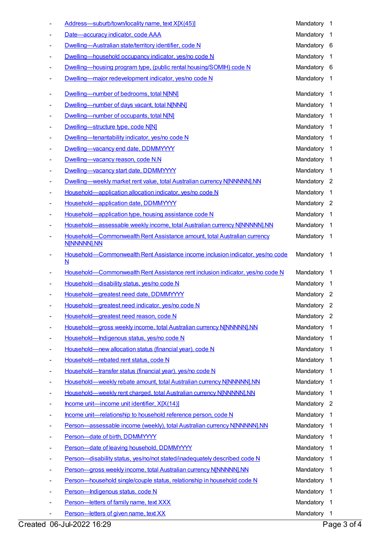| Address-suburb/town/locality name, text X[X(45)]                                           | Mandatory   | -1                         |
|--------------------------------------------------------------------------------------------|-------------|----------------------------|
| Date-accuracy indicator, code AAA                                                          | Mandatory   | $\overline{1}$             |
| Dwelling-Australian state/territory identifier, code N                                     | Mandatory   | - 6                        |
| Dwelling-household occupancy indicator, yes/no code N                                      | Mandatory   | $\overline{1}$             |
| Dwelling—housing program type, (public rental housing/SOMIH) code N                        | Mandatory   | - 6                        |
| Dwelling-major redevelopment indicator, yes/no code N                                      | Mandatory   | $\overline{1}$             |
| Dwelling-number of bedrooms, total N[NN]                                                   | Mandatory   | $\overline{1}$             |
| Dwelling-number of days vacant, total N[NNN]                                               | Mandatory   | $\mathbf{1}$               |
| Dwelling-number of occupants, total N[N]                                                   | Mandatory   | $\overline{1}$             |
| Dwelling-structure type, code N[N]                                                         | Mandatory   | $\overline{1}$             |
| Dwelling-tenantability indicator, yes/no code N                                            | Mandatory   | $\overline{1}$             |
| Dwelling-vacancy end date, DDMMYYYY                                                        | Mandatory   | $\overline{1}$             |
| Dwelling-vacancy reason, code N.N                                                          | Mandatory   | $\overline{1}$             |
| Dwelling-vacancy start date, DDMMYYYY                                                      | Mandatory   | $\overline{1}$             |
| Dwelling—weekly market rent value, total Australian currency NJNNNNNJ.NN                   | Mandatory   | $\overline{\phantom{a}}$   |
| Household-application allocation indicator, yes/no code N                                  | Mandatory   | $\overline{1}$             |
| Household-application date, DDMMYYYY                                                       | Mandatory 2 |                            |
| Household-application type, housing assistance code N                                      | Mandatory   | $\overline{1}$             |
| Household-assessable weekly income, total Australian currency N[NNNNN].NN                  | Mandatory   | $\overline{1}$             |
| Household-Commonwealth Rent Assistance amount, total Australian currency<br>N[NNNNN].NN    | Mandatory   | $\overline{1}$             |
| Household-Commonwealth Rent Assistance income inclusion indicator, yes/no code<br><u>N</u> | Mandatory   | $\overline{1}$             |
| Household-Commonwealth Rent Assistance rent inclusion indicator, yes/no code N             | Mandatory   | $\overline{1}$             |
| Household-disability status, yes/no code N                                                 | Mandatory   | $\overline{1}$             |
| Household-greatest need date, DDMMYYYY                                                     | Mandatory   | $\overline{\phantom{2}}$   |
| Household-greatest need indicator, yes/no code N                                           | Mandatory 2 |                            |
| Household-greatest need reason, code N                                                     | Mandatory   | $\mathbf{2}$               |
| Household-gross weekly income, total Australian currency N[NNNNN].NN                       | Mandatory   | $\overline{1}$             |
| Household-Indigenous status, yes/no code N                                                 | Mandatory   | $\overline{1}$             |
| Household-new allocation status (financial year), code N                                   | Mandatory   | $\overline{1}$             |
| Household-rebated rent status, code N                                                      | Mandatory   | $\overline{1}$             |
| Household-transfer status (financial year), yes/no code N                                  | Mandatory   | $\overline{1}$             |
| Household-weekly rebate amount, total Australian currency NJNNNNNJ.NN                      | Mandatory   | $\overline{1}$             |
| Household—weekly rent charged, total Australian currency N[NNNNN].NN                       | Mandatory   | $\overline{1}$             |
| Income unit-income unit identifier, X[X(14)]                                               | Mandatory   | $\overline{\phantom{0}}^2$ |
| Income unit-relationship to household reference person, code N                             | Mandatory   | $\overline{1}$             |
| Person-assessable income (weekly), total Australian currency N[NNNNN].NN                   | Mandatory   | $\overline{1}$             |
| Person-date of birth, DDMMYYYY                                                             | Mandatory   | $\overline{1}$             |
| Person-date of leaving household, DDMMYYYY                                                 | Mandatory   | $\overline{1}$             |
| Person-disability status, yes/no/not stated/inadequately described code N                  | Mandatory   | $\overline{1}$             |
| Person-gross weekly income, total Australian currency N[NNNNN].NN                          | Mandatory   | $\overline{1}$             |
| Person-household single/couple status, relationship in household code N                    | Mandatory   | $\overline{1}$             |
| Person-Indigenous status, code N                                                           | Mandatory   | $\overline{1}$             |
| Person-letters of family name, text XXX                                                    | Mandatory   | $\overline{1}$             |
| Person-letters of given name, text XX                                                      | Mandatory 1 |                            |